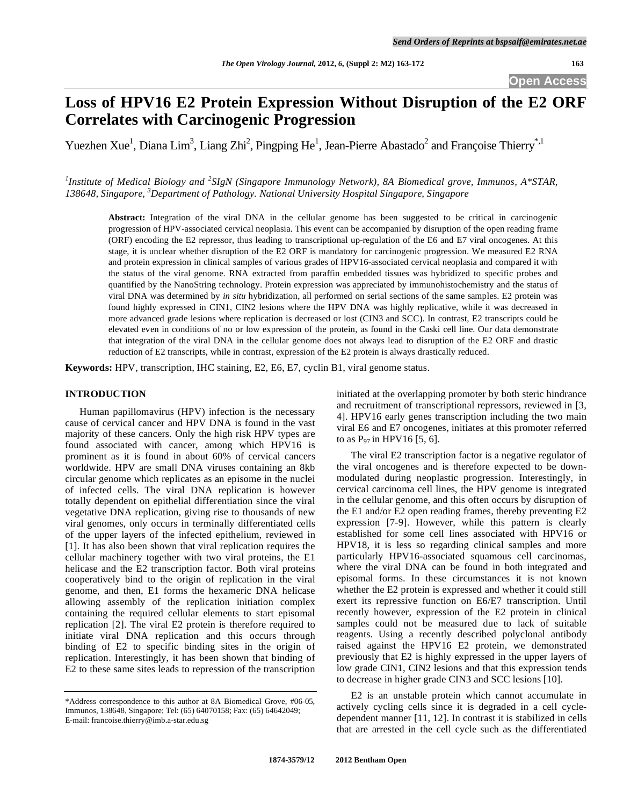**Open Access** 

# **Loss of HPV16 E2 Protein Expression Without Disruption of the E2 ORF Correlates with Carcinogenic Progression**

Yuezhen Xue<sup>1</sup>, Diana Lim<sup>3</sup>, Liang Zhi<sup>2</sup>, Pingping He<sup>1</sup>, Jean-Pierre Abastado<sup>2</sup> and Françoise Thierry<sup>\*,1</sup>

<sup>1</sup> Institute of Medical Biology and <sup>2</sup>SIgN (Singapore Immunology Network), 8A Biomedical grove, Immunos, A\*STAR, *138648, Singapore, 3 Department of Pathology. National University Hospital Singapore, Singapore* 

**Abstract:** Integration of the viral DNA in the cellular genome has been suggested to be critical in carcinogenic progression of HPV-associated cervical neoplasia. This event can be accompanied by disruption of the open reading frame (ORF) encoding the E2 repressor, thus leading to transcriptional up-regulation of the E6 and E7 viral oncogenes. At this stage, it is unclear whether disruption of the E2 ORF is mandatory for carcinogenic progression. We measured E2 RNA and protein expression in clinical samples of various grades of HPV16-associated cervical neoplasia and compared it with the status of the viral genome. RNA extracted from paraffin embedded tissues was hybridized to specific probes and quantified by the NanoString technology. Protein expression was appreciated by immunohistochemistry and the status of viral DNA was determined by *in situ* hybridization, all performed on serial sections of the same samples. E2 protein was found highly expressed in CIN1, CIN2 lesions where the HPV DNA was highly replicative, while it was decreased in more advanced grade lesions where replication is decreased or lost (CIN3 and SCC). In contrast, E2 transcripts could be elevated even in conditions of no or low expression of the protein, as found in the Caski cell line. Our data demonstrate that integration of the viral DNA in the cellular genome does not always lead to disruption of the E2 ORF and drastic reduction of E2 transcripts, while in contrast, expression of the E2 protein is always drastically reduced.

**Keywords:** HPV, transcription, IHC staining, E2, E6, E7, cyclin B1, viral genome status.

## **INTRODUCTION**

 Human papillomavirus (HPV) infection is the necessary cause of cervical cancer and HPV DNA is found in the vast majority of these cancers. Only the high risk HPV types are found associated with cancer, among which HPV16 is prominent as it is found in about 60% of cervical cancers worldwide. HPV are small DNA viruses containing an 8kb circular genome which replicates as an episome in the nuclei of infected cells. The viral DNA replication is however totally dependent on epithelial differentiation since the viral vegetative DNA replication, giving rise to thousands of new viral genomes, only occurs in terminally differentiated cells of the upper layers of the infected epithelium, reviewed in [1]. It has also been shown that viral replication requires the cellular machinery together with two viral proteins, the E1 helicase and the E2 transcription factor. Both viral proteins cooperatively bind to the origin of replication in the viral genome, and then, E1 forms the hexameric DNA helicase allowing assembly of the replication initiation complex containing the required cellular elements to start episomal replication [2]. The viral E2 protein is therefore required to initiate viral DNA replication and this occurs through binding of E2 to specific binding sites in the origin of replication. Interestingly, it has been shown that binding of E2 to these same sites leads to repression of the transcription

initiated at the overlapping promoter by both steric hindrance and recruitment of transcriptional repressors, reviewed in [3, 4]. HPV16 early genes transcription including the two main viral E6 and E7 oncogenes, initiates at this promoter referred to as  $P_{97}$  in HPV16 [5, 6].

 The viral E2 transcription factor is a negative regulator of the viral oncogenes and is therefore expected to be downmodulated during neoplastic progression. Interestingly, in cervical carcinoma cell lines, the HPV genome is integrated in the cellular genome, and this often occurs by disruption of the E1 and/or E2 open reading frames, thereby preventing E2 expression [7-9]. However, while this pattern is clearly established for some cell lines associated with HPV16 or HPV18, it is less so regarding clinical samples and more particularly HPV16-associated squamous cell carcinomas, where the viral DNA can be found in both integrated and episomal forms. In these circumstances it is not known whether the E2 protein is expressed and whether it could still exert its repressive function on E6/E7 transcription. Until recently however, expression of the E2 protein in clinical samples could not be measured due to lack of suitable reagents. Using a recently described polyclonal antibody raised against the HPV16 E2 protein, we demonstrated previously that E2 is highly expressed in the upper layers of low grade CIN1, CIN2 lesions and that this expression tends to decrease in higher grade CIN3 and SCC lesions [10].

 E2 is an unstable protein which cannot accumulate in actively cycling cells since it is degraded in a cell cycledependent manner [11, 12]. In contrast it is stabilized in cells that are arrested in the cell cycle such as the differentiated

<sup>\*</sup>Address correspondence to this author at 8A Biomedical Grove, #06-05, Immunos, 138648, Singapore; Tel: (65) 64070158; Fax: (65) 64642049; E-mail: francoise.thierry@imb.a-star.edu.sg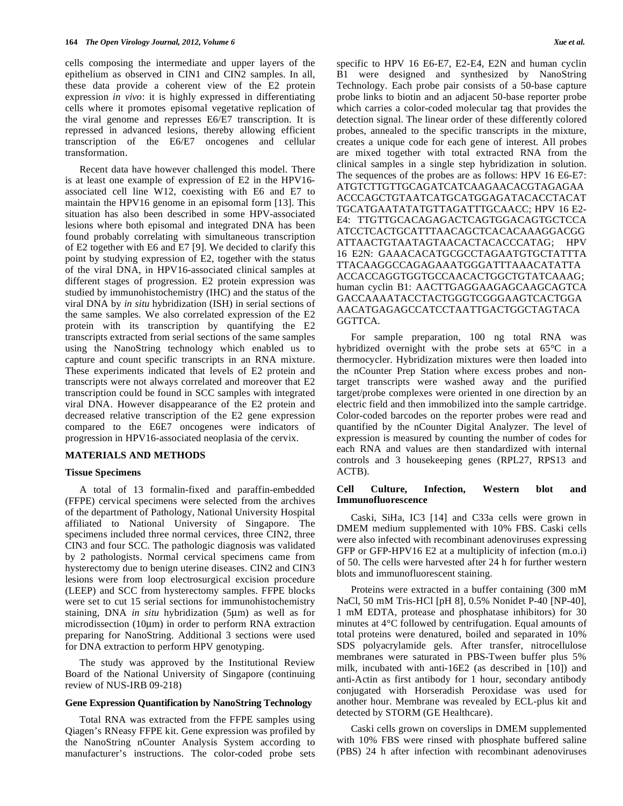cells composing the intermediate and upper layers of the epithelium as observed in CIN1 and CIN2 samples. In all, these data provide a coherent view of the E2 protein expression *in vivo*: it is highly expressed in differentiating cells where it promotes episomal vegetative replication of the viral genome and represses E6/E7 transcription. It is repressed in advanced lesions, thereby allowing efficient transcription of the E6/E7 oncogenes and cellular transformation.

 Recent data have however challenged this model. There is at least one example of expression of E2 in the HPV16 associated cell line W12, coexisting with E6 and E7 to maintain the HPV16 genome in an episomal form [13]. This situation has also been described in some HPV-associated lesions where both episomal and integrated DNA has been found probably correlating with simultaneous transcription of E2 together with E6 and E7 [9]. We decided to clarify this point by studying expression of E2, together with the status of the viral DNA, in HPV16-associated clinical samples at different stages of progression. E2 protein expression was studied by immunohistochemistry (IHC) and the status of the viral DNA by *in situ* hybridization (ISH) in serial sections of the same samples. We also correlated expression of the E2 protein with its transcription by quantifying the E2 transcripts extracted from serial sections of the same samples using the NanoString technology which enabled us to capture and count specific transcripts in an RNA mixture. These experiments indicated that levels of E2 protein and transcripts were not always correlated and moreover that E2 transcription could be found in SCC samples with integrated viral DNA. However disappearance of the E2 protein and decreased relative transcription of the E2 gene expression compared to the E6E7 oncogenes were indicators of progression in HPV16-associated neoplasia of the cervix.

# **MATERIALS AND METHODS**

#### **Tissue Specimens**

 A total of 13 formalin-fixed and paraffin-embedded (FFPE) cervical specimens were selected from the archives of the department of Pathology, National University Hospital affiliated to National University of Singapore. The specimens included three normal cervices, three CIN2, three CIN3 and four SCC. The pathologic diagnosis was validated by 2 pathologists. Normal cervical specimens came from hysterectomy due to benign uterine diseases. CIN2 and CIN3 lesions were from loop electrosurgical excision procedure (LEEP) and SCC from hysterectomy samples. FFPE blocks were set to cut 15 serial sections for immunohistochemistry staining, DNA *in situ* hybridization (5μm) as well as for microdissection (10μm) in order to perform RNA extraction preparing for NanoString. Additional 3 sections were used for DNA extraction to perform HPV genotyping.

 The study was approved by the Institutional Review Board of the National University of Singapore (continuing review of NUS-IRB 09-218)

#### **Gene Expression Quantification by NanoString Technology**

 Total RNA was extracted from the FFPE samples using Qiagen's RNeasy FFPE kit. Gene expression was profiled by the NanoString nCounter Analysis System according to manufacturer's instructions. The color-coded probe sets

specific to HPV 16 E6-E7, E2-E4, E2N and human cyclin B1 were designed and synthesized by NanoString Technology. Each probe pair consists of a 50-base capture probe links to biotin and an adjacent 50-base reporter probe which carries a color-coded molecular tag that provides the detection signal. The linear order of these differently colored probes, annealed to the specific transcripts in the mixture, creates a unique code for each gene of interest. All probes are mixed together with total extracted RNA from the clinical samples in a single step hybridization in solution. The sequences of the probes are as follows: HPV 16 E6-E7: ATGTCTTGTTGCAGATCATCAAGAACACGTAGAGAA ACCCAGCTGTAATCATGCATGGAGATACACCTACAT TGCATGAATATATGTTAGATTTGCAACC; HPV 16 E2- E4: TTGTTGCACAGAGACTCAGTGGACAGTGCTCCA ATCCTCACTGCATTTAACAGCTCACACAAAGGACGG ATTAACTGTAATAGTAACACTACACCCATAG; HPV 16 E2N: GAAACACATGCGCCTAGAATGTGCTATTTA TTACAAGGCCAGAGAAATGGGATTTAAACATATTA ACCACCAGGTGGTGCCAACACTGGCTGTATCAAAG; human cyclin B1: AACTTGAGGAAGAGCAAGCAGTCA GACCAAAATACCTACTGGGTCGGGAAGTCACTGGA AACATGAGAGCCATCCTAATTGACTGGCTAGTACA GGTTCA.

 For sample preparation, 100 ng total RNA was hybridized overnight with the probe sets at 65°C in a thermocycler. Hybridization mixtures were then loaded into the nCounter Prep Station where excess probes and nontarget transcripts were washed away and the purified target/probe complexes were oriented in one direction by an electric field and then immobilized into the sample cartridge. Color-coded barcodes on the reporter probes were read and quantified by the nCounter Digital Analyzer. The level of expression is measured by counting the number of codes for each RNA and values are then standardized with internal controls and 3 housekeeping genes (RPL27, RPS13 and ACTB).

## **Cell Culture, Infection, Western blot and Immunofluorescence**

 Caski, SiHa, IC3 [14] and C33a cells were grown in DMEM medium supplemented with 10% FBS. Caski cells were also infected with recombinant adenoviruses expressing GFP or GFP-HPV16 E2 at a multiplicity of infection (m.o.i) of 50. The cells were harvested after 24 h for further western blots and immunofluorescent staining.

 Proteins were extracted in a buffer containing (300 mM NaCl, 50 mM Tris-HCl [pH 8], 0.5% Nonidet P-40 [NP-40], 1 mM EDTA, protease and phosphatase inhibitors) for 30 minutes at 4°C followed by centrifugation. Equal amounts of total proteins were denatured, boiled and separated in 10% SDS polyacrylamide gels. After transfer, nitrocellulose membranes were saturated in PBS-Tween buffer plus 5% milk, incubated with anti-16E2 (as described in [10]) and anti-Actin as first antibody for 1 hour, secondary antibody conjugated with Horseradish Peroxidase was used for another hour. Membrane was revealed by ECL-plus kit and detected by STORM (GE Healthcare).

 Caski cells grown on coverslips in DMEM supplemented with 10% FBS were rinsed with phosphate buffered saline (PBS) 24 h after infection with recombinant adenoviruses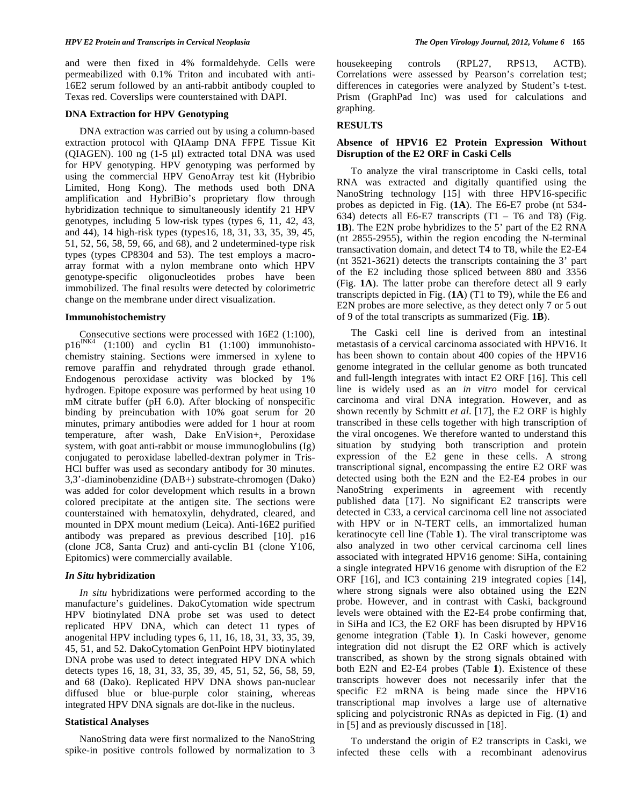and were then fixed in 4% formaldehyde. Cells were permeabilized with 0.1% Triton and incubated with anti-16E2 serum followed by an anti-rabbit antibody coupled to Texas red. Coverslips were counterstained with DAPI.

## **DNA Extraction for HPV Genotyping**

 DNA extraction was carried out by using a column-based extraction protocol with QIAamp DNA FFPE Tissue Kit (QIAGEN). 100 ng (1-5 μl) extracted total DNA was used for HPV genotyping. HPV genotyping was performed by using the commercial HPV GenoArray test kit (Hybribio Limited, Hong Kong). The methods used both DNA amplification and HybriBio's proprietary flow through hybridization technique to simultaneously identify 21 HPV genotypes, including 5 low-risk types (types 6, 11, 42, 43, and 44), 14 high-risk types (types16, 18, 31, 33, 35, 39, 45, 51, 52, 56, 58, 59, 66, and 68), and 2 undetermined-type risk types (types CP8304 and 53). The test employs a macroarray format with a nylon membrane onto which HPV genotype-specific oligonucleotides probes have been immobilized. The final results were detected by colorimetric change on the membrane under direct visualization.

### **Immunohistochemistry**

 Consecutive sections were processed with 16E2 (1:100),  $p16^{INK4}$  (1:100) and cyclin B1 (1:100) immunohistochemistry staining. Sections were immersed in xylene to remove paraffin and rehydrated through grade ethanol. Endogenous peroxidase activity was blocked by 1% hydrogen. Epitope exposure was performed by heat using 10 mM citrate buffer (pH 6.0). After blocking of nonspecific binding by preincubation with 10% goat serum for 20 minutes, primary antibodies were added for 1 hour at room temperature, after wash, Dake EnVision+, Peroxidase system, with goat anti-rabbit or mouse immunoglobulins (Ig) conjugated to peroxidase labelled-dextran polymer in Tris-HCl buffer was used as secondary antibody for 30 minutes. 3,3'-diaminobenzidine (DAB+) substrate-chromogen (Dako) was added for color development which results in a brown colored precipitate at the antigen site. The sections were counterstained with hematoxylin, dehydrated, cleared, and mounted in DPX mount medium (Leica). Anti-16E2 purified antibody was prepared as previous described [10]. p16 (clone JC8, Santa Cruz) and anti-cyclin B1 (clone Y106, Epitomics) were commercially available.

## *In Situ* **hybridization**

 *In situ* hybridizations were performed according to the manufacture's guidelines. DakoCytomation wide spectrum HPV biotinylated DNA probe set was used to detect replicated HPV DNA, which can detect 11 types of anogenital HPV including types 6, 11, 16, 18, 31, 33, 35, 39, 45, 51, and 52. DakoCytomation GenPoint HPV biotinylated DNA probe was used to detect integrated HPV DNA which detects types 16, 18, 31, 33, 35, 39, 45, 51, 52, 56, 58, 59, and 68 (Dako). Replicated HPV DNA shows pan-nuclear diffused blue or blue-purple color staining, whereas integrated HPV DNA signals are dot-like in the nucleus.

# **Statistical Analyses**

 NanoString data were first normalized to the NanoString spike-in positive controls followed by normalization to 3 housekeeping controls (RPL27, RPS13, ACTB). Correlations were assessed by Pearson's correlation test; differences in categories were analyzed by Student's t-test. Prism (GraphPad Inc) was used for calculations and graphing.

# **RESULTS**

# **Absence of HPV16 E2 Protein Expression Without Disruption of the E2 ORF in Caski Cells**

 To analyze the viral transcriptome in Caski cells, total RNA was extracted and digitally quantified using the NanoString technology [15] with three HPV16-specific probes as depicted in Fig. (**1A**). The E6-E7 probe (nt 534- 634) detects all E6-E7 transcripts  $(T1 - T6$  and T8) (Fig. **1B**). The E2N probe hybridizes to the 5' part of the E2 RNA (nt 2855-2955), within the region encoding the N-terminal transactivation domain, and detect T4 to T8, while the E2-E4 (nt 3521-3621) detects the transcripts containing the 3' part of the E2 including those spliced between 880 and 3356 (Fig. **1A**). The latter probe can therefore detect all 9 early transcripts depicted in Fig. (**1A**) (T1 to T9), while the E6 and E2N probes are more selective, as they detect only 7 or 5 out of 9 of the total transcripts as summarized (Fig. **1B**).

 The Caski cell line is derived from an intestinal metastasis of a cervical carcinoma associated with HPV16. It has been shown to contain about 400 copies of the HPV16 genome integrated in the cellular genome as both truncated and full-length integrates with intact E2 ORF [16]. This cell line is widely used as an *in vitro* model for cervical carcinoma and viral DNA integration. However, and as shown recently by Schmitt *et al*. [17], the E2 ORF is highly transcribed in these cells together with high transcription of the viral oncogenes. We therefore wanted to understand this situation by studying both transcription and protein expression of the E2 gene in these cells. A strong transcriptional signal, encompassing the entire E2 ORF was detected using both the E2N and the E2-E4 probes in our NanoString experiments in agreement with recently published data [17]. No significant E2 transcripts were detected in C33, a cervical carcinoma cell line not associated with HPV or in N-TERT cells, an immortalized human keratinocyte cell line (Table **1**). The viral transcriptome was also analyzed in two other cervical carcinoma cell lines associated with integrated HPV16 genome: SiHa, containing a single integrated HPV16 genome with disruption of the E2 ORF [16], and IC3 containing 219 integrated copies [14], where strong signals were also obtained using the E2N probe. However, and in contrast with Caski, background levels were obtained with the E2-E4 probe confirming that, in SiHa and IC3, the E2 ORF has been disrupted by HPV16 genome integration (Table **1**). In Caski however, genome integration did not disrupt the E2 ORF which is actively transcribed, as shown by the strong signals obtained with both E2N and E2-E4 probes (Table **1**). Existence of these transcripts however does not necessarily infer that the specific E2 mRNA is being made since the HPV16 transcriptional map involves a large use of alternative splicing and polycistronic RNAs as depicted in Fig. (**1**) and in [5] and as previously discussed in [18].

 To understand the origin of E2 transcripts in Caski, we infected these cells with a recombinant adenovirus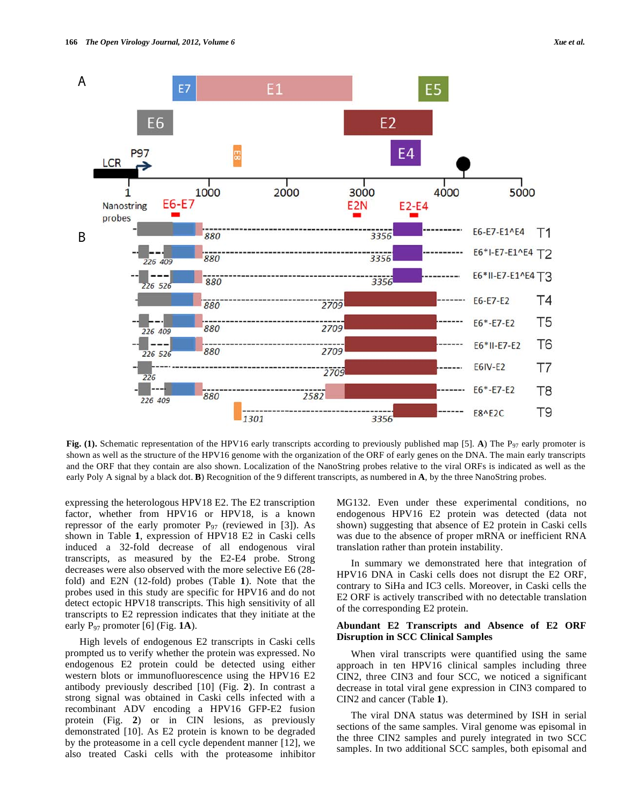

**Fig. (1).** Schematic representation of the HPV16 early transcripts according to previously published map [5]. **A**) The P97 early promoter is shown as well as the structure of the HPV16 genome with the organization of the ORF of early genes on the DNA. The main early transcripts and the ORF that they contain are also shown. Localization of the NanoString probes relative to the viral ORFs is indicated as well as the early Poly A signal by a black dot. **B**) Recognition of the 9 different transcripts, as numbered in **A**, by the three NanoString probes.

expressing the heterologous HPV18 E2. The E2 transcription factor, whether from HPV16 or HPV18, is a known repressor of the early promoter  $P_{97}$  (reviewed in [3]). As shown in Table **1**, expression of HPV18 E2 in Caski cells induced a 32-fold decrease of all endogenous viral transcripts, as measured by the E2-E4 probe. Strong decreases were also observed with the more selective E6 (28 fold) and E2N (12-fold) probes (Table **1**). Note that the probes used in this study are specific for HPV16 and do not detect ectopic HPV18 transcripts. This high sensitivity of all transcripts to E2 repression indicates that they initiate at the early  $P_{97}$  promoter [6] (Fig. **1A**).

 High levels of endogenous E2 transcripts in Caski cells prompted us to verify whether the protein was expressed. No endogenous E2 protein could be detected using either western blots or immunofluorescence using the HPV16 E2 antibody previously described [10] (Fig. **2**). In contrast a strong signal was obtained in Caski cells infected with a recombinant ADV encoding a HPV16 GFP-E2 fusion protein (Fig. **2**) or in CIN lesions, as previously demonstrated [10]. As E2 protein is known to be degraded by the proteasome in a cell cycle dependent manner [12], we also treated Caski cells with the proteasome inhibitor MG132. Even under these experimental conditions, no endogenous HPV16 E2 protein was detected (data not shown) suggesting that absence of E2 protein in Caski cells was due to the absence of proper mRNA or inefficient RNA translation rather than protein instability.

 In summary we demonstrated here that integration of HPV16 DNA in Caski cells does not disrupt the E2 ORF, contrary to SiHa and IC3 cells. Moreover, in Caski cells the E2 ORF is actively transcribed with no detectable translation of the corresponding E2 protein.

# **Abundant E2 Transcripts and Absence of E2 ORF Disruption in SCC Clinical Samples**

 When viral transcripts were quantified using the same approach in ten HPV16 clinical samples including three CIN2, three CIN3 and four SCC, we noticed a significant decrease in total viral gene expression in CIN3 compared to CIN2 and cancer (Table **1**).

 The viral DNA status was determined by ISH in serial sections of the same samples. Viral genome was episomal in the three CIN2 samples and purely integrated in two SCC samples. In two additional SCC samples, both episomal and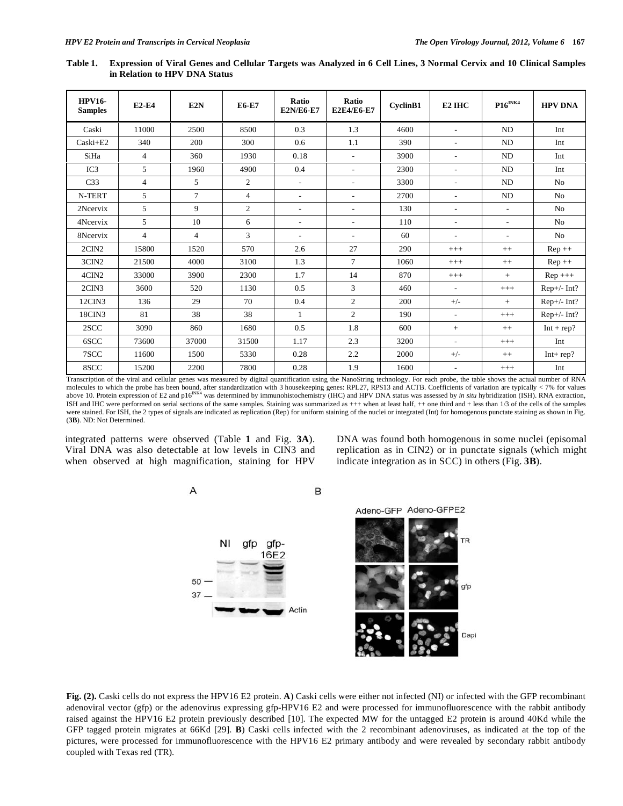| <b>HPV16-</b><br><b>Samples</b> | <b>E2-E4</b>   | E2N            | <b>E6-E7</b>   | Ratio<br><b>E2N/E6-E7</b> | <b>Ratio</b><br><b>E2E4/E6-E7</b> | CyclinB1 | E <sub>2</sub> IH <sub>C</sub> | $P16^{\text{INK4}}$      | <b>HPV DNA</b> |
|---------------------------------|----------------|----------------|----------------|---------------------------|-----------------------------------|----------|--------------------------------|--------------------------|----------------|
| Caski                           | 11000          | 2500           | 8500           | 0.3                       | 1.3                               | 4600     | $\overline{\phantom{a}}$       | <b>ND</b>                | Int            |
| Caski+E2                        | 340            | 200            | 300            | 0.6                       | 1.1                               | 390      | $\overline{\phantom{a}}$       | <b>ND</b>                | Int            |
| SiHa                            | $\overline{4}$ | 360            | 1930           | 0.18                      | $\overline{a}$                    | 3900     | $\overline{\phantom{a}}$       | <b>ND</b>                | Int            |
| IC3                             | 5              | 1960           | 4900           | 0.4                       | $\overline{\phantom{a}}$          | 2300     | $\overline{\phantom{a}}$       | <b>ND</b>                | Int            |
| C <sub>33</sub>                 | $\overline{4}$ | 5              | $\overline{c}$ | ÷.                        | ÷                                 | 3300     | $\mathbf{r}$                   | <b>ND</b>                | N <sub>o</sub> |
| N-TERT                          | 5              | 7              | $\overline{4}$ | $\overline{\phantom{a}}$  | $\overline{\phantom{a}}$          | 2700     | $\overline{\phantom{a}}$       | ND                       | N <sub>0</sub> |
| 2Ncervix                        | 5              | 9              | $\overline{c}$ | ٠                         | $\overline{\phantom{a}}$          | 130      | $\overline{\phantom{a}}$       | ٠                        | N <sub>0</sub> |
| 4Ncervix                        | 5              | 10             | 6              | $\overline{a}$            | $\overline{a}$                    | 110      | $\overline{\phantom{a}}$       | ٠                        | N <sub>0</sub> |
| 8Ncervix                        | $\overline{4}$ | $\overline{4}$ | 3              | ٠                         | $\overline{\phantom{a}}$          | 60       | $\overline{\phantom{a}}$       | $\overline{\phantom{a}}$ | N <sub>0</sub> |
| 2CIN2                           | 15800          | 1520           | 570            | 2.6                       | 27                                | 290      | $+++$                          | $++$                     | $Rep++$        |
| 3CIN <sub>2</sub>               | 21500          | 4000           | 3100           | 1.3                       | $\tau$                            | 1060     | $+++$                          | $++$                     | $Rep++$        |
| 4CIN2                           | 33000          | 3900           | 2300           | 1.7                       | 14                                | 870      | $+++$                          | $+$                      | $Rep +++$      |
| 2CIN3                           | 3600           | 520            | 1130           | 0.5                       | 3                                 | 460      | $\sim$                         | $+++$                    | $Rep+/- Int?$  |
| 12CIN3                          | 136            | 29             | 70             | 0.4                       | $\overline{c}$                    | 200      | $+/-$                          | $+$                      | $Rep+/- Int?$  |
| 18CIN3                          | 81             | 38             | 38             | 1                         | $\overline{c}$                    | 190      | $\overline{\phantom{a}}$       | $+++$                    | $Rep+/- Int?$  |
| 2SCC                            | 3090           | 860            | 1680           | 0.5                       | 1.8                               | 600      | $+$                            | $++$                     | $Int + rep?$   |
| 6SCC                            | 73600          | 37000          | 31500          | 1.17                      | 2.3                               | 3200     | $\overline{\phantom{a}}$       | $+++$                    | Int            |
| 7SCC                            | 11600          | 1500           | 5330           | 0.28                      | 2.2                               | 2000     | $+/-$                          | $++$                     | $Int+rep?$     |
| 8SCC                            | 15200          | 2200           | 7800           | 0.28                      | 1.9                               | 1600     | $\overline{\phantom{a}}$       | $+++$                    | Int            |

**Table 1. Expression of Viral Genes and Cellular Targets was Analyzed in 6 Cell Lines, 3 Normal Cervix and 10 Clinical Samples in Relation to HPV DNA Status** 

Transcription of the viral and cellular genes was measured by digital quantification using the NanoString technology. For each probe, the table shows the actual number of RNA molecules to which the probe has been bound, after standardization with 3 housekeeping genes: RPL27, RPS13 and ACTB. Coefficients of variation are typically < 7% for values<br>above 10. Protein expression of E2 and p16<sup>INK4</sup> ISH and IHC were performed on serial sections of the same samples. Staining was summarized as +++ when at least half, ++ one third and + less than 1/3 of the cells of the samples were stained. For ISH, the 2 types of signals are indicated as replication (Rep) for uniform staining of the nuclei or integrated (Int) for homogenous punctate staining as shown in Fig. (**3B**). ND: Not Determined.

integrated patterns were observed (Table **1** and Fig. **3A**). Viral DNA was also detectable at low levels in CIN3 and when observed at high magnification, staining for HPV DNA was found both homogenous in some nuclei (episomal replication as in CIN2) or in punctate signals (which might indicate integration as in SCC) in others (Fig. **3B**).



**Fig. (2).** Caski cells do not express the HPV16 E2 protein. **A**) Caski cells were either not infected (NI) or infected with the GFP recombinant adenoviral vector (gfp) or the adenovirus expressing gfp-HPV16 E2 and were processed for immunofluorescence with the rabbit antibody raised against the HPV16 E2 protein previously described [10]. The expected MW for the untagged E2 protein is around 40Kd while the GFP tagged protein migrates at 66Kd [29]. **B**) Caski cells infected with the 2 recombinant adenoviruses, as indicated at the top of the pictures, were processed for immunofluorescence with the HPV16 E2 primary antibody and were revealed by secondary rabbit antibody coupled with Texas red (TR).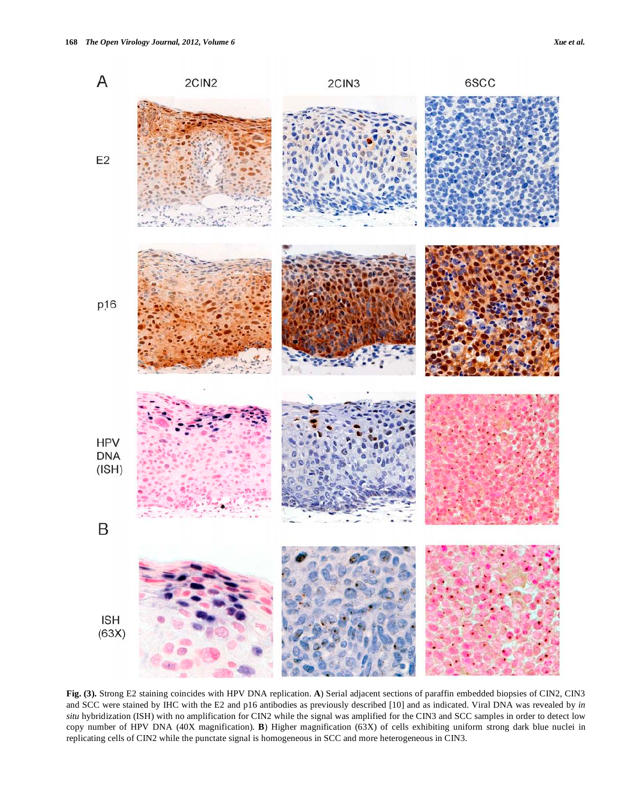

**Fig. (3).** Strong E2 staining coincides with HPV DNA replication. **A**) Serial adjacent sections of paraffin embedded biopsies of CIN2, CIN3 and SCC were stained by IHC with the E2 and p16 antibodies as previously described [10] and as indicated. Viral DNA was revealed by *in situ* hybridization (ISH) with no amplification for CIN2 while the signal was amplified for the CIN3 and SCC samples in order to detect low copy number of HPV DNA (40X magnification). **B**) Higher magnification (63X) of cells exhibiting uniform strong dark blue nuclei in replicating cells of CIN2 while the punctate signal is homogeneous in SCC and more heterogeneous in CIN3.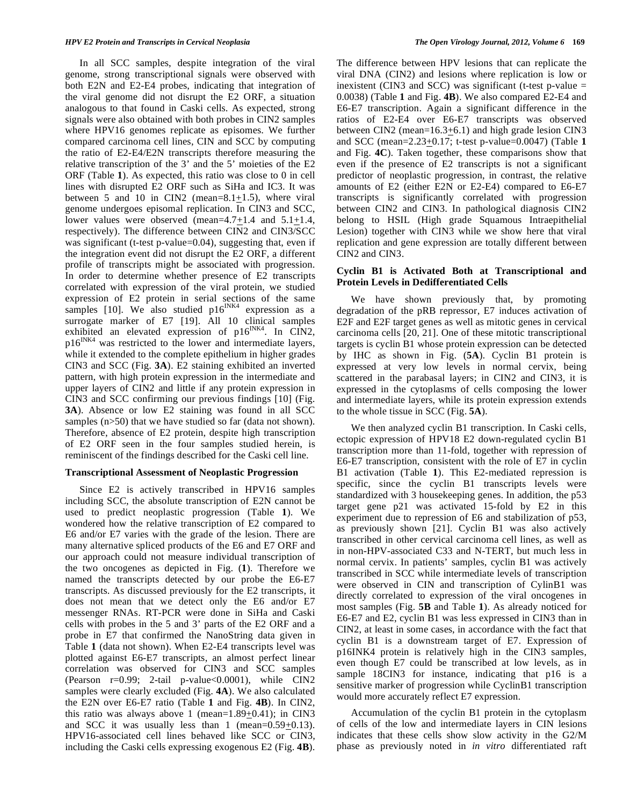In all SCC samples, despite integration of the viral genome, strong transcriptional signals were observed with both E2N and E2-E4 probes, indicating that integration of the viral genome did not disrupt the E2 ORF, a situation analogous to that found in Caski cells. As expected, strong signals were also obtained with both probes in CIN2 samples where HPV16 genomes replicate as episomes. We further compared carcinoma cell lines, CIN and SCC by computing the ratio of E2-E4/E2N transcripts therefore measuring the relative transcription of the 3' and the 5' moieties of the E2 ORF (Table **1**). As expected, this ratio was close to 0 in cell lines with disrupted E2 ORF such as SiHa and IC3. It was between 5 and 10 in CIN2 (mean= $8.1 \pm 1.5$ ), where viral genome undergoes episomal replication. In CIN3 and SCC, lower values were observed (mean=4.7+1.4 and 5.1+1.4, respectively). The difference between CIN2 and CIN3/SCC was significant (t-test p-value=0.04), suggesting that, even if the integration event did not disrupt the E2 ORF, a different profile of transcripts might be associated with progression. In order to determine whether presence of E2 transcripts correlated with expression of the viral protein, we studied expression of E2 protein in serial sections of the same samples [10]. We also studied  $p16^{INK4}$  expression as a surrogate marker of E7 [19]. All 10 clinical samples exhibited an elevated expression of  $p16^{INK4}$ . In CIN2, p16<sup>INK4</sup> was restricted to the lower and intermediate layers, while it extended to the complete epithelium in higher grades CIN3 and SCC (Fig. **3A**). E2 staining exhibited an inverted pattern, with high protein expression in the intermediate and upper layers of CIN2 and little if any protein expression in CIN3 and SCC confirming our previous findings [10] (Fig. **3A**). Absence or low E2 staining was found in all SCC samples (n>50) that we have studied so far (data not shown). Therefore, absence of E2 protein, despite high transcription of E2 ORF seen in the four samples studied herein, is reminiscent of the findings described for the Caski cell line.

#### **Transcriptional Assessment of Neoplastic Progression**

 Since E2 is actively transcribed in HPV16 samples including SCC, the absolute transcription of E2N cannot be used to predict neoplastic progression (Table **1**). We wondered how the relative transcription of E2 compared to E6 and/or E7 varies with the grade of the lesion. There are many alternative spliced products of the E6 and E7 ORF and our approach could not measure individual transcription of the two oncogenes as depicted in Fig. (**1**). Therefore we named the transcripts detected by our probe the E6-E7 transcripts. As discussed previously for the E2 transcripts, it does not mean that we detect only the E6 and/or E7 messenger RNAs. RT-PCR were done in SiHa and Caski cells with probes in the 5 and 3' parts of the E2 ORF and a probe in E7 that confirmed the NanoString data given in Table **1** (data not shown). When E2-E4 transcripts level was plotted against E6-E7 transcripts, an almost perfect linear correlation was observed for CIN3 and SCC samples (Pearson r=0.99; 2-tail p-value<0.0001), while CIN2 samples were clearly excluded (Fig. **4A**). We also calculated the E2N over E6-E7 ratio (Table **1** and Fig. **4B**). In CIN2, this ratio was always above 1 (mean= $1.89 \pm 0.41$ ); in CIN3 and SCC it was usually less than 1 (mean=0.59+0.13). HPV16-associated cell lines behaved like SCC or CIN3, including the Caski cells expressing exogenous E2 (Fig. **4B**).

The difference between HPV lesions that can replicate the viral DNA (CIN2) and lesions where replication is low or inexistent (CIN3 and SCC) was significant (t-test p-value  $=$ 0.0038) (Table **1** and Fig. **4B**). We also compared E2-E4 and E6-E7 transcription. Again a significant difference in the ratios of E2-E4 over E6-E7 transcripts was observed between CIN2 (mean= $16.3 \pm 6.1$ ) and high grade lesion CIN3 and SCC (mean=2.23+0.17; t-test p-value=0.0047) (Table **1** and Fig. **4C**). Taken together, these comparisons show that even if the presence of E2 transcripts is not a significant predictor of neoplastic progression, in contrast, the relative amounts of E2 (either E2N or E2-E4) compared to E6-E7 transcripts is significantly correlated with progression between CIN2 and CIN3. In pathological diagnosis CIN2 belong to HSIL (High grade Squamous Intraepithelial Lesion) together with CIN3 while we show here that viral replication and gene expression are totally different between CIN2 and CIN3.

# **Cyclin B1 is Activated Both at Transcriptional and Protein Levels in Dedifferentiated Cells**

 We have shown previously that, by promoting degradation of the pRB repressor, E7 induces activation of E2F and E2F target genes as well as mitotic genes in cervical carcinoma cells [20, 21]. One of these mitotic transcriptional targets is cyclin B1 whose protein expression can be detected by IHC as shown in Fig. (**5A**). Cyclin B1 protein is expressed at very low levels in normal cervix, being scattered in the parabasal layers; in CIN2 and CIN3, it is expressed in the cytoplasms of cells composing the lower and intermediate layers, while its protein expression extends to the whole tissue in SCC (Fig. **5A**).

 We then analyzed cyclin B1 transcription. In Caski cells, ectopic expression of HPV18 E2 down-regulated cyclin B1 transcription more than 11-fold, together with repression of E6-E7 transcription, consistent with the role of E7 in cyclin B1 activation (Table **1**). This E2-mediated repression is specific, since the cyclin B1 transcripts levels were standardized with 3 housekeeping genes. In addition, the p53 target gene p21 was activated 15-fold by E2 in this experiment due to repression of E6 and stabilization of p53, as previously shown [21]. Cyclin B1 was also actively transcribed in other cervical carcinoma cell lines, as well as in non-HPV-associated C33 and N-TERT, but much less in normal cervix. In patients' samples, cyclin B1 was actively transcribed in SCC while intermediate levels of transcription were observed in CIN and transcription of CylinB1 was directly correlated to expression of the viral oncogenes in most samples (Fig. **5B** and Table **1**). As already noticed for E6-E7 and E2, cyclin B1 was less expressed in CIN3 than in CIN2, at least in some cases, in accordance with the fact that cyclin B1 is a downstream target of E7. Expression of p16INK4 protein is relatively high in the CIN3 samples, even though E7 could be transcribed at low levels, as in sample 18CIN3 for instance, indicating that p16 is a sensitive marker of progression while CyclinB1 transcription would more accurately reflect E7 expression.

 Accumulation of the cyclin B1 protein in the cytoplasm of cells of the low and intermediate layers in CIN lesions indicates that these cells show slow activity in the G2/M phase as previously noted in *in vitro* differentiated raft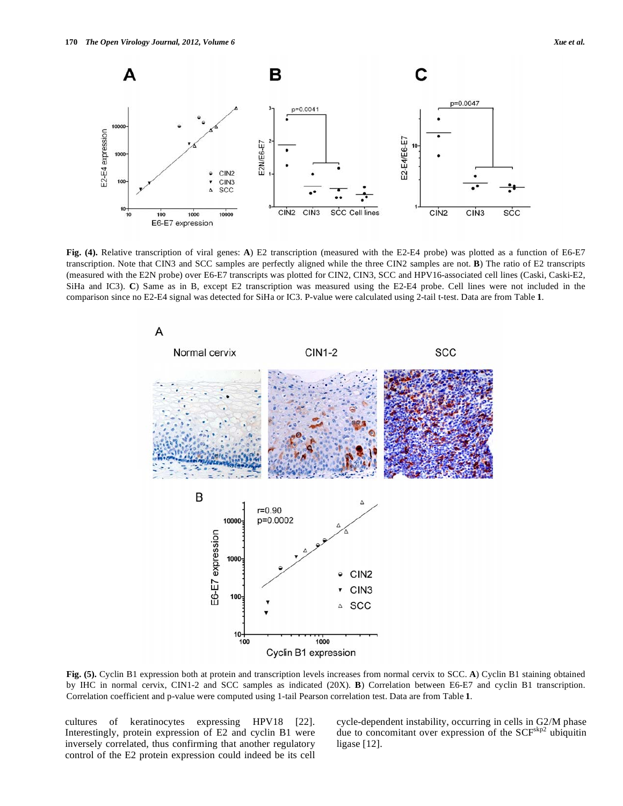![](_page_7_Figure_1.jpeg)

**Fig. (4).** Relative transcription of viral genes: **A**) E2 transcription (measured with the E2-E4 probe) was plotted as a function of E6-E7 transcription. Note that CIN3 and SCC samples are perfectly aligned while the three CIN2 samples are not. **B**) The ratio of E2 transcripts (measured with the E2N probe) over E6-E7 transcripts was plotted for CIN2, CIN3, SCC and HPV16-associated cell lines (Caski, Caski-E2, SiHa and IC3). **C**) Same as in B, except E2 transcription was measured using the E2-E4 probe. Cell lines were not included in the comparison since no E2-E4 signal was detected for SiHa or IC3. P-value were calculated using 2-tail t-test. Data are from Table **1**.

![](_page_7_Figure_3.jpeg)

**Fig. (5).** Cyclin B1 expression both at protein and transcription levels increases from normal cervix to SCC. **A**) Cyclin B1 staining obtained by IHC in normal cervix, CIN1-2 and SCC samples as indicated (20X). **B**) Correlation between E6-E7 and cyclin B1 transcription. Correlation coefficient and p-value were computed using 1-tail Pearson correlation test. Data are from Table **1**.

cultures of keratinocytes expressing HPV18 [22]. Interestingly, protein expression of E2 and cyclin B1 were inversely correlated, thus confirming that another regulatory control of the E2 protein expression could indeed be its cell cycle-dependent instability, occurring in cells in G2/M phase due to concomitant over expression of the SCF<sup>skp2</sup> ubiquitin ligase [12].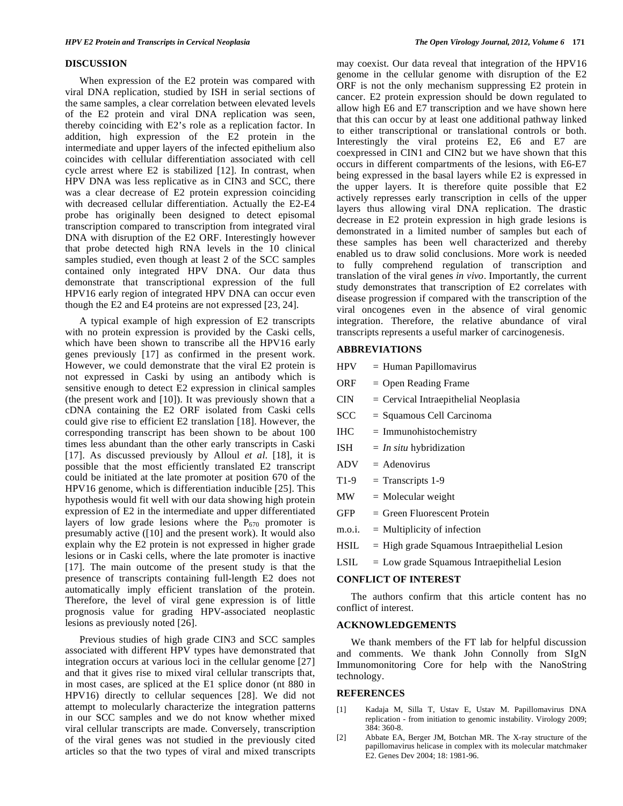#### **DISCUSSION**

 When expression of the E2 protein was compared with viral DNA replication, studied by ISH in serial sections of the same samples, a clear correlation between elevated levels of the E2 protein and viral DNA replication was seen, thereby coinciding with E2's role as a replication factor. In addition, high expression of the E2 protein in the intermediate and upper layers of the infected epithelium also coincides with cellular differentiation associated with cell cycle arrest where E2 is stabilized [12]. In contrast, when HPV DNA was less replicative as in CIN3 and SCC, there was a clear decrease of E2 protein expression coinciding with decreased cellular differentiation. Actually the E2-E4 probe has originally been designed to detect episomal transcription compared to transcription from integrated viral DNA with disruption of the E2 ORF. Interestingly however that probe detected high RNA levels in the 10 clinical samples studied, even though at least 2 of the SCC samples contained only integrated HPV DNA. Our data thus demonstrate that transcriptional expression of the full HPV16 early region of integrated HPV DNA can occur even though the E2 and E4 proteins are not expressed [23, 24].

 A typical example of high expression of E2 transcripts with no protein expression is provided by the Caski cells, which have been shown to transcribe all the HPV16 early genes previously [17] as confirmed in the present work. However, we could demonstrate that the viral E2 protein is not expressed in Caski by using an antibody which is sensitive enough to detect E2 expression in clinical samples (the present work and [10]). It was previously shown that a cDNA containing the E2 ORF isolated from Caski cells could give rise to efficient E2 translation [18]. However, the corresponding transcript has been shown to be about 100 times less abundant than the other early transcripts in Caski [17]. As discussed previously by Alloul *et al*. [18], it is possible that the most efficiently translated E2 transcript could be initiated at the late promoter at position 670 of the HPV16 genome, which is differentiation inducible [25]. This hypothesis would fit well with our data showing high protein expression of E2 in the intermediate and upper differentiated layers of low grade lesions where the  $P_{670}$  promoter is presumably active ([10] and the present work). It would also explain why the E2 protein is not expressed in higher grade lesions or in Caski cells, where the late promoter is inactive [17]. The main outcome of the present study is that the presence of transcripts containing full-length E2 does not automatically imply efficient translation of the protein. Therefore, the level of viral gene expression is of little prognosis value for grading HPV-associated neoplastic lesions as previously noted [26].

 Previous studies of high grade CIN3 and SCC samples associated with different HPV types have demonstrated that integration occurs at various loci in the cellular genome [27] and that it gives rise to mixed viral cellular transcripts that, in most cases, are spliced at the E1 splice donor (nt 880 in HPV16) directly to cellular sequences [28]. We did not attempt to molecularly characterize the integration patterns in our SCC samples and we do not know whether mixed viral cellular transcripts are made. Conversely, transcription of the viral genes was not studied in the previously cited articles so that the two types of viral and mixed transcripts may coexist. Our data reveal that integration of the HPV16 genome in the cellular genome with disruption of the E2 ORF is not the only mechanism suppressing E2 protein in cancer. E2 protein expression should be down regulated to allow high E6 and E7 transcription and we have shown here that this can occur by at least one additional pathway linked to either transcriptional or translational controls or both. Interestingly the viral proteins E2, E6 and E7 are coexpressed in CIN1 and CIN2 but we have shown that this occurs in different compartments of the lesions, with E6-E7 being expressed in the basal layers while E2 is expressed in the upper layers. It is therefore quite possible that E2 actively represses early transcription in cells of the upper layers thus allowing viral DNA replication. The drastic decrease in E2 protein expression in high grade lesions is demonstrated in a limited number of samples but each of these samples has been well characterized and thereby enabled us to draw solid conclusions. More work is needed to fully comprehend regulation of transcription and translation of the viral genes *in vivo*. Importantly, the current study demonstrates that transcription of E2 correlates with disease progression if compared with the transcription of the viral oncogenes even in the absence of viral genomic integration. Therefore, the relative abundance of viral transcripts represents a useful marker of carcinogenesis.

#### **ABBREVIATIONS**

- $HPV = Human Papillomavirus$
- $ORF = Open Reading Frame$
- $CIN = Cervical Intraepithelial Neoplasia$
- SCC = Squamous Cell Carcinoma
- $IHC = Immunohistochemistry$
- ISH = *In situ* hybridization
- $ADV = Adenovirus$
- $T1-9$  = Transcripts 1-9
- $MW = Molecular weight$
- $GFP = Green Fluorescent Protein$
- $m.o.i. = Multiplicity of infection$
- $HSL = High\ grad$  Squamous Intraepithelial Lesion
- $LSIL = Low grade Squamous Intraepithelial Lesion$

# **CONFLICT OF INTEREST**

 The authors confirm that this article content has no conflict of interest.

## **ACKNOWLEDGEMENTS**

 We thank members of the FT lab for helpful discussion and comments. We thank John Connolly from SIgN Immunomonitoring Core for help with the NanoString technology.

# **REFERENCES**

- [1] Kadaja M, Silla T, Ustav E, Ustav M. Papillomavirus DNA replication - from initiation to genomic instability. Virology 2009; 384: 360-8.
- [2] Abbate EA, Berger JM, Botchan MR. The X-ray structure of the papillomavirus helicase in complex with its molecular matchmaker E2. Genes Dev 2004; 18: 1981-96.